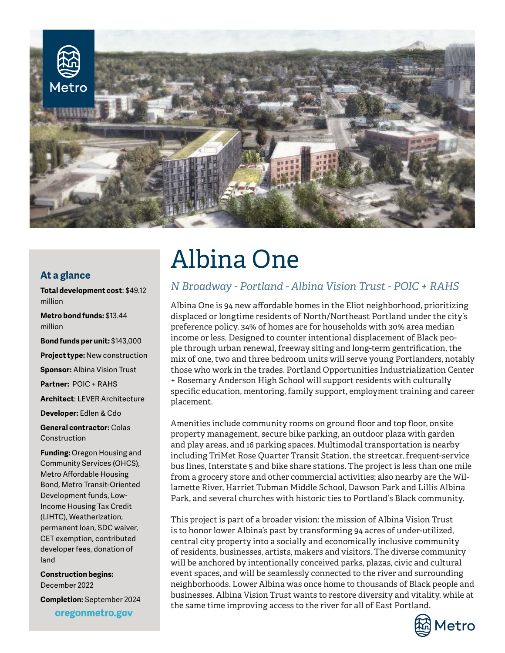

#### **At a glance**

**Total development cost**: \$49.12 million

**Metro bond funds:** \$13.44 million

**Bond funds per unit:** \$143,000 **Project type:** New construction

**Sponsor:** Albina Vision Trust

**Partner:** POIC + RAHS

**Architect**: LEVER Architecture

**Developer:** Edlen & Cdo

**General contractor:** Colas Construction

**Funding:** Oregon Housing and Community Services (OHCS), Metro Affordable Housing Bond, Metro Transit-Oriented Development funds, Low-Income Housing Tax Credit (LIHTC), Weatherization, permanent loan, SDC waiver, CET exemption, contributed developer fees, donation of land

**Construction begins:**  December 2022

**Completion:** September 2024oregonmetro.gov

# Albina One

### *N Broadway - Portland - Albina Vision Trust - POIC + RAHS*

Albina One is 94 new affordable homes in the Eliot neighborhood, prioritizing displaced or longtime residents of North/Northeast Portland under the city's preference policy. 34% of homes are for households with 30% area median income or less. Designed to counter intentional displacement of Black people through urban renewal, freeway siting and long-term gentrification, the mix of one, two and three bedroom units will serve young Portlanders, notably those who work in the trades. Portland Opportunities Industrialization Center + Rosemary Anderson High School will support residents with culturally specific education, mentoring, family support, employment training and career placement.

Amenities include community rooms on ground floor and top floor, onsite property management, secure bike parking, an outdoor plaza with garden and play areas, and 16 parking spaces. Multimodal transportation is nearby including TriMet Rose Quarter Transit Station, the streetcar, frequent-service bus lines, Interstate 5 and bike share stations. The project is less than one mile from a grocery store and other commercial activities; also nearby are the Willamette River, Harriet Tubman Middle School, Dawson Park and Lillis Albina Park, and several churches with historic ties to Portland's Black community.

This project is part of a broader vision: the mission of Albina Vision Trust is to honor lower Albina's past by transforming 94 acres of under-utilized, central city property into a socially and economically inclusive community of residents, businesses, artists, makers and visitors. The diverse community will be anchored by intentionally conceived parks, plazas, civic and cultural event spaces, and will be seamlessly connected to the river and surrounding neighborhoods. Lower Albina was once home to thousands of Black people and businesses. Albina Vision Trust wants to restore diversity and vitality, while at the same time improving access to the river for all of East Portland.